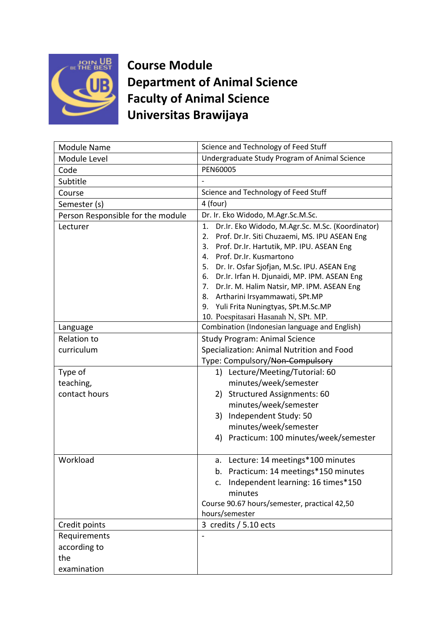

**Course Module Department of Animal Science Faculty of Animal Science Universitas Brawijaya**

| Science and Technology of Feed Stuff<br>Module Name                     |  |
|-------------------------------------------------------------------------|--|
| Undergraduate Study Program of Animal Science<br>Module Level           |  |
| PEN60005<br>Code                                                        |  |
| Subtitle                                                                |  |
| Science and Technology of Feed Stuff<br>Course                          |  |
| 4 (four)<br>Semester (s)                                                |  |
| Dr. Ir. Eko Widodo, M.Agr.Sc.M.Sc.<br>Person Responsible for the module |  |
| Dr.Ir. Eko Widodo, M.Agr.Sc. M.Sc. (Koordinator)<br>1.<br>Lecturer      |  |
| Prof. Dr.Ir. Siti Chuzaemi, MS. IPU ASEAN Eng<br>2.                     |  |
| Prof. Dr.Ir. Hartutik, MP. IPU. ASEAN Eng<br>3.                         |  |
| Prof. Dr.Ir. Kusmartono<br>4.                                           |  |
| Dr. Ir. Osfar Sjofjan, M.Sc. IPU. ASEAN Eng<br>5.                       |  |
| Dr.Ir. Irfan H. Djunaidi, MP. IPM. ASEAN Eng<br>6.                      |  |
| Dr.Ir. M. Halim Natsir, MP. IPM. ASEAN Eng<br>7 <sub>1</sub>            |  |
| Artharini Irsyammawati, SPt.MP<br>8.                                    |  |
| Yuli Frita Nuningtyas, SPt.M.Sc.MP<br>9.                                |  |
| 10. Poespitasari Hasanah N, SPt. MP.                                    |  |
| Combination (Indonesian language and English)<br>Language               |  |
| <b>Relation to</b><br><b>Study Program: Animal Science</b>              |  |
| curriculum<br>Specialization: Animal Nutrition and Food                 |  |
| Type: Compulsory/Non-Compulsory                                         |  |
| Type of<br>1) Lecture/Meeting/Tutorial: 60                              |  |
| minutes/week/semester<br>teaching,                                      |  |
| contact hours<br><b>Structured Assignments: 60</b><br>2)                |  |
| minutes/week/semester                                                   |  |
| Independent Study: 50<br>3)                                             |  |
| minutes/week/semester                                                   |  |
| Practicum: 100 minutes/week/semester<br>4)                              |  |
|                                                                         |  |
| Workload<br>Lecture: 14 meetings*100 minutes<br>a.                      |  |
| b. Practicum: 14 meetings*150 minutes                                   |  |
| Independent learning: 16 times*150<br>$C_{\star}$                       |  |
| minutes                                                                 |  |
| Course 90.67 hours/semester, practical 42,50                            |  |
| hours/semester                                                          |  |
| 3 credits / 5.10 ects<br>Credit points                                  |  |
| Requirements                                                            |  |
|                                                                         |  |
|                                                                         |  |
| according to<br>the                                                     |  |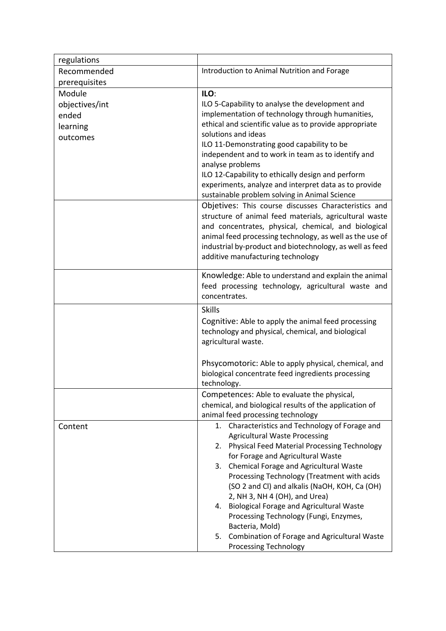| regulations    |                                                                                                                                 |  |
|----------------|---------------------------------------------------------------------------------------------------------------------------------|--|
| Recommended    | Introduction to Animal Nutrition and Forage                                                                                     |  |
| prerequisites  |                                                                                                                                 |  |
| Module         | ILO:                                                                                                                            |  |
| objectives/int | ILO 5-Capability to analyse the development and                                                                                 |  |
| ended          | implementation of technology through humanities,                                                                                |  |
| learning       | ethical and scientific value as to provide appropriate                                                                          |  |
| outcomes       | solutions and ideas                                                                                                             |  |
|                | ILO 11-Demonstrating good capability to be                                                                                      |  |
|                | independent and to work in team as to identify and                                                                              |  |
|                | analyse problems                                                                                                                |  |
|                | ILO 12-Capability to ethically design and perform                                                                               |  |
|                | experiments, analyze and interpret data as to provide                                                                           |  |
|                | sustainable problem solving in Animal Science                                                                                   |  |
|                | Objetives: This course discusses Characteristics and                                                                            |  |
|                | structure of animal feed materials, agricultural waste                                                                          |  |
|                | and concentrates, physical, chemical, and biological                                                                            |  |
|                | animal feed processing technology, as well as the use of                                                                        |  |
|                | industrial by-product and biotechnology, as well as feed                                                                        |  |
|                | additive manufacturing technology                                                                                               |  |
|                |                                                                                                                                 |  |
|                | Knowledge: Able to understand and explain the animal                                                                            |  |
|                | feed processing technology, agricultural waste and<br>concentrates.                                                             |  |
|                |                                                                                                                                 |  |
|                | <b>Skills</b>                                                                                                                   |  |
|                | Cognitive: Able to apply the animal feed processing<br>technology and physical, chemical, and biological<br>agricultural waste. |  |
|                |                                                                                                                                 |  |
|                |                                                                                                                                 |  |
|                |                                                                                                                                 |  |
|                | Phsycomotoric: Able to apply physical, chemical, and<br>biological concentrate feed ingredients processing<br>technology.       |  |
|                |                                                                                                                                 |  |
|                |                                                                                                                                 |  |
|                | Competences: Able to evaluate the physical,                                                                                     |  |
|                | chemical, and biological results of the application of                                                                          |  |
|                | animal feed processing technology                                                                                               |  |
| Content        | Characteristics and Technology of Forage and<br>1.                                                                              |  |
|                | <b>Agricultural Waste Processing</b>                                                                                            |  |
|                | 2. Physical Feed Material Processing Technology                                                                                 |  |
|                | for Forage and Agricultural Waste<br>Chemical Forage and Agricultural Waste                                                     |  |
|                | 3.<br>Processing Technology (Treatment with acids                                                                               |  |
|                | (SO 2 and Cl) and alkalis (NaOH, KOH, Ca (OH)                                                                                   |  |
|                | 2, NH 3, NH 4 (OH), and Urea)                                                                                                   |  |
|                | <b>Biological Forage and Agricultural Waste</b><br>4.                                                                           |  |
|                | Processing Technology (Fungi, Enzymes,                                                                                          |  |
|                | Bacteria, Mold)                                                                                                                 |  |
|                | Combination of Forage and Agricultural Waste<br>5.                                                                              |  |
|                | <b>Processing Technology</b>                                                                                                    |  |